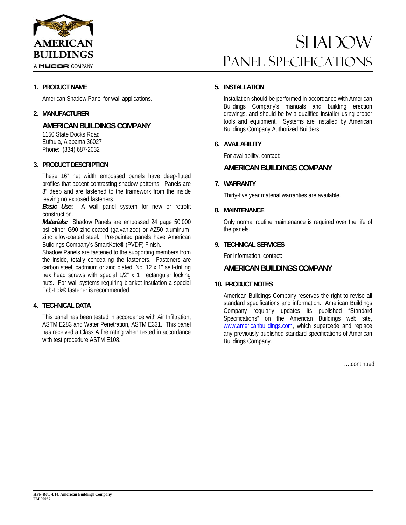

# **SHADOW** Panel Specifications

## **1. PRODUCT NAME**

American Shadow Panel for wall applications.

## **2. MANUFACTURER**

# **AMERICAN BUILDINGS COMPANY**

 1150 State Docks Road Eufaula, Alabama 36027 Phone: (334) 687-2032

### **3. PRODUCT DESCRIPTION**

These 16" net width embossed panels have deep-fluted profiles that accent contrasting shadow patterns. Panels are 3" deep and are fastened to the framework from the inside leaving no exposed fasteners.

 *Basic Use***:** A wall panel system for new or retrofit construction.

*Materials:* Shadow Panels are embossed 24 gage 50,000 psi either G90 zinc-coated (galvanized) or AZ50 aluminumzinc alloy-coated steel. Pre-painted panels have American Buildings Company's SmartKote® (PVDF) Finish.

Shadow Panels are fastened to the supporting members from the inside, totally concealing the fasteners. Fasteners are carbon steel, cadmium or zinc plated, No. 12 x 1" self-drilling hex head screws with special 1/2" x 1" rectangular locking nuts. For wall systems requiring blanket insulation a special Fab-Lok® fastener is recommended.

# **4. TECHNICAL DATA**

This panel has been tested in accordance with Air Infiltration, ASTM E283 and Water Penetration, ASTM E331. This panel has received a Class A fire rating when tested in accordance with test procedure ASTM E108.

# **5. INSTALLATION**

Installation should be performed in accordance with American Buildings Company's manuals and building erection drawings, and should be by a qualified installer using proper tools and equipment. Systems are installed by American Buildings Company Authorized Builders.

# **6. AVAILABILITY**

For availability, contact:

# **AMERICAN BUILDINGS COMPANY**

### **7. WARRANTY**

Thirty-five year material warranties are available.

### **8. MAINTENANCE**

Only normal routine maintenance is required over the life of the panels.

#### **9. TECHNICAL SERVICES**

For information, contact:

#### **AMERICAN BUILDINGS COMPANY**

#### **10. PRODUCT NOTES**

American Buildings Company reserves the right to revise all standard specifications and information. American Buildings Company regularly updates its published "Standard Specifications" on the American Buildings web site, www.americanbuildings.com, which supercede and replace any previously published standard specifications of American Buildings Company.

….continued